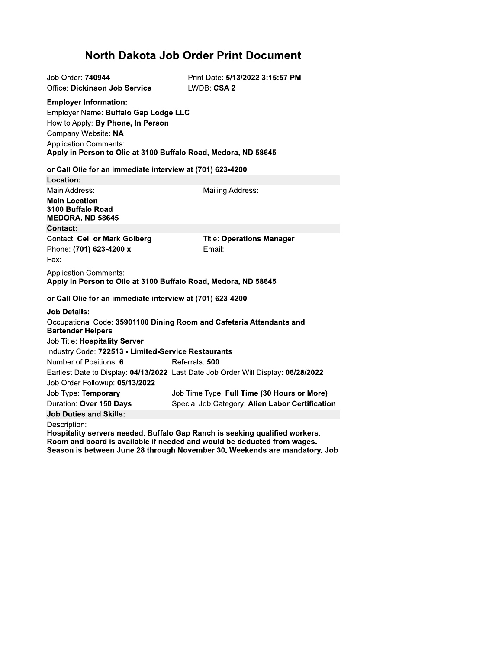## North Dakota Job Order Print Document

| Job Order: 740944<br><b>Office: Dickinson Job Service</b>                                                                                                                                                                          | Print Date: 5/13/2022 3:15:57 PM<br>LWDB: CSA 2                                                                                                        |
|------------------------------------------------------------------------------------------------------------------------------------------------------------------------------------------------------------------------------------|--------------------------------------------------------------------------------------------------------------------------------------------------------|
| <b>Employer Information:</b><br>Employer Name: Buffalo Gap Lodge LLC<br>How to Apply: By Phone, In Person<br>Company Website: NA<br><b>Application Comments:</b><br>Apply in Person to Olie at 3100 Buffalo Road, Medora, ND 58645 |                                                                                                                                                        |
| or Call Olie for an immediate interview at (701) 623-4200                                                                                                                                                                          |                                                                                                                                                        |
| Location:                                                                                                                                                                                                                          |                                                                                                                                                        |
| Main Address:                                                                                                                                                                                                                      | Mailing Address:                                                                                                                                       |
| <b>Main Location</b><br>3100 Buffalo Road<br>MEDORA, ND 58645                                                                                                                                                                      |                                                                                                                                                        |
| <b>Contact:</b>                                                                                                                                                                                                                    |                                                                                                                                                        |
| <b>Contact: Ceil or Mark Golberg</b>                                                                                                                                                                                               | <b>Title: Operations Manager</b>                                                                                                                       |
| Phone: (701) 623-4200 x                                                                                                                                                                                                            | Email:                                                                                                                                                 |
| Fax:                                                                                                                                                                                                                               |                                                                                                                                                        |
| <b>Application Comments:</b><br>Apply in Person to Olie at 3100 Buffalo Road, Medora, ND 58645                                                                                                                                     |                                                                                                                                                        |
| or Call Olie for an immediate interview at (701) 623-4200                                                                                                                                                                          |                                                                                                                                                        |
| <b>Job Details:</b>                                                                                                                                                                                                                |                                                                                                                                                        |
| <b>Bartender Helpers</b>                                                                                                                                                                                                           | Occupational Code: 35901100 Dining Room and Cafeteria Attendants and                                                                                   |
| Job Title: Hospitality Server                                                                                                                                                                                                      |                                                                                                                                                        |
| Industry Code: 722513 - Limited-Service Restaurants                                                                                                                                                                                |                                                                                                                                                        |
| Number of Positions: 6                                                                                                                                                                                                             | Referrals: 500                                                                                                                                         |
|                                                                                                                                                                                                                                    | Earliest Date to Display: 04/13/2022 Last Date Job Order Will Display: 06/28/2022                                                                      |
| Job Order Followup: 05/13/2022                                                                                                                                                                                                     |                                                                                                                                                        |
| Job Type: Temporary                                                                                                                                                                                                                | Job Time Type: Full Time (30 Hours or More)                                                                                                            |
| Duration: Over 150 Days                                                                                                                                                                                                            | Special Job Category: Alien Labor Certification                                                                                                        |
| <b>Job Duties and Skills:</b>                                                                                                                                                                                                      |                                                                                                                                                        |
| Description:                                                                                                                                                                                                                       | Hospitality servers needed. Buffalo Gap Ranch is seeking qualified workers.<br>Room and board is available if needed and would be deducted from wages. |

Room and board is available if needed and would be deducted from wages.<br>Season is between June 28 through November 30. Weekends are mandatory. Job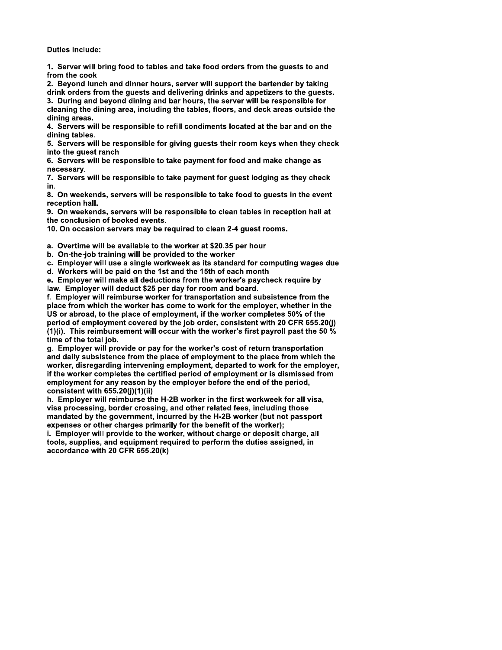**Duties include:** 

1. Server will bring food to tables and take food orders from the guests to and from the cook

2. Beyond lunch and dinner hours, server will support the bartender by taking drink orders from the guests and delivering drinks and appetizers to the guests.

3. During and beyond dining and bar hours, the server will be responsible for cleaning the dining area, including the tables, floors, and deck areas outside the dining areas.

4. Servers will be responsible to refill condiments located at the bar and on the dining tables.

5. Servers will be responsible for giving guests their room keys when they check into the quest ranch

6. Servers will be responsible to take payment for food and make change as necessary.

7. Servers will be responsible to take payment for quest lodging as they check in.

8. On weekends, servers will be responsible to take food to guests in the event reception hall.

9. On weekends, servers will be responsible to clean tables in reception hall at the conclusion of booked events.

10. On occasion servers may be required to clean 2-4 guest rooms.

a. Overtime will be available to the worker at \$20.35 per hour

b. On-the-job training will be provided to the worker

c. Employer will use a single workweek as its standard for computing wages due

d. Workers will be paid on the 1st and the 15th of each month

e. Emplover will make all deductions from the worker's paycheck require by law. Employer will deduct \$25 per day for room and board.

f. Employer will reimburse worker for transportation and subsistence from the place from which the worker has come to work for the employer, whether in the US or abroad, to the place of employment, if the worker completes 50% of the period of employment covered by the job order, consistent with 20 CFR 655.20(j) (1)(i). This reimbursement will occur with the worker's first payroll past the 50  $%$ time of the total job.

g. Employer will provide or pay for the worker's cost of return transportation and daily subsistence from the place of employment to the place from which the worker, disregarding intervening employment, departed to work for the employer, if the worker completes the certified period of employment or is dismissed from employment for any reason by the employer before the end of the period, consistent with 655.20(j)(1)(ii)

h. Employer will reimburse the H-2B worker in the first workweek for all visa. visa processing, border crossing, and other related fees, including those mandated by the government, incurred by the H-2B worker (but not passport expenses or other charges primarily for the benefit of the worker);

i. Employer will provide to the worker, without charge or deposit charge, all tools, supplies, and equipment required to perform the duties assigned, in accordance with 20 CFR 655.20(k)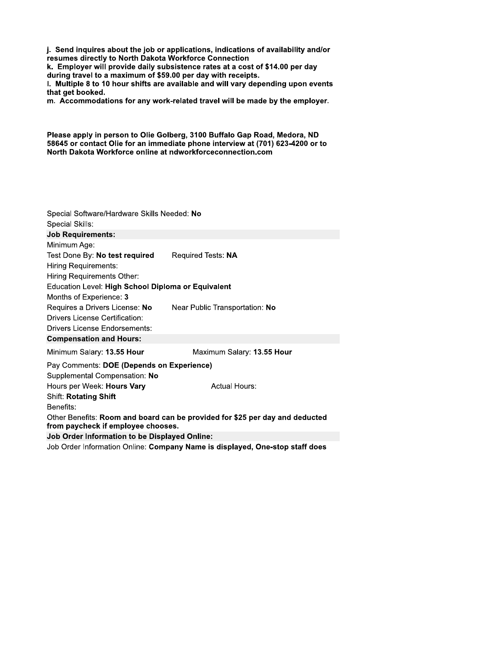j. Send inquires about the job or applications, indications of availability and/or resumes directly to North Dakota Workforce Connection

k. Employer will provide daily subsistence rates at a cost of \$14.00 per day during travel to a maximum of \$59.00 per day with receipts.

I. Multiple 8 to 10 hour shifts are available and will vary depending upon events that get booked.

m. Accommodations for any work-related travel will be made by the employer.

Please apply in person to Olie Golberg, 3100 Buffalo Gap Road, Medora, ND 58645 or contact Olie for an immediate phone interview at (701) 623-4200 or to North Dakota Workforce online at ndworkforceconnection.com

| Special Software/Hardware Skills Needed: No                                                                        |                                                                              |  |  |
|--------------------------------------------------------------------------------------------------------------------|------------------------------------------------------------------------------|--|--|
| Special Skills:                                                                                                    |                                                                              |  |  |
| <b>Job Requirements:</b>                                                                                           |                                                                              |  |  |
| Minimum Age:                                                                                                       |                                                                              |  |  |
| Test Done By: No test required                                                                                     | Required Tests: NA                                                           |  |  |
| Hiring Requirements:                                                                                               |                                                                              |  |  |
| Hiring Requirements Other:                                                                                         |                                                                              |  |  |
| Education Level: High School Diploma or Equivalent                                                                 |                                                                              |  |  |
| Months of Experience: 3                                                                                            |                                                                              |  |  |
| Requires a Drivers License: No                                                                                     | Near Public Transportation: No                                               |  |  |
| Drivers License Certification:                                                                                     |                                                                              |  |  |
| <b>Drivers License Endorsements:</b>                                                                               |                                                                              |  |  |
| <b>Compensation and Hours:</b>                                                                                     |                                                                              |  |  |
| Minimum Salary: 13.55 Hour                                                                                         | Maximum Salary: 13.55 Hour                                                   |  |  |
| Pay Comments: DOE (Depends on Experience)                                                                          |                                                                              |  |  |
| Supplemental Compensation: No                                                                                      |                                                                              |  |  |
| Hours per Week: Hours Vary                                                                                         | <b>Actual Hours:</b>                                                         |  |  |
| <b>Shift: Rotating Shift</b>                                                                                       |                                                                              |  |  |
| Benefits:                                                                                                          |                                                                              |  |  |
| Other Benefits: Room and board can be provided for \$25 per day and deducted<br>from paycheck if employee chooses. |                                                                              |  |  |
| <b>Job Order Information to be Displayed Online:</b>                                                               |                                                                              |  |  |
|                                                                                                                    | Job Order Information Online: Company Name is displayed, One-stop staff does |  |  |